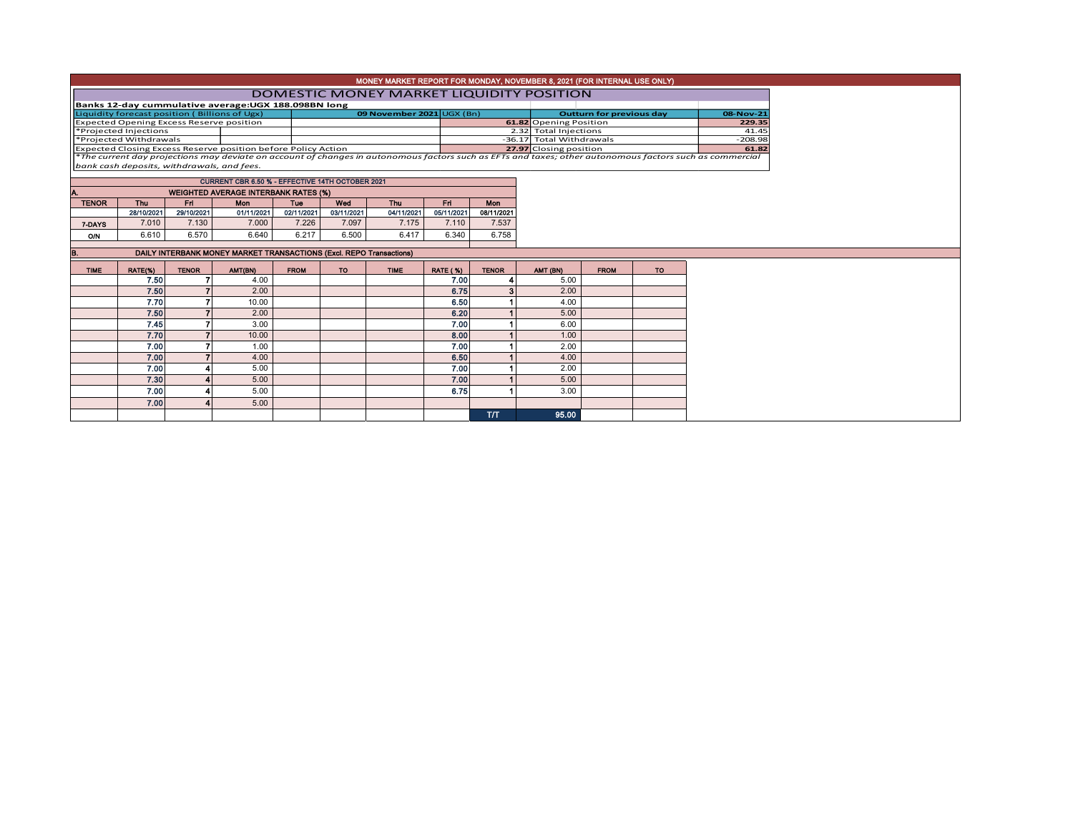| MONEY MARKET REPORT FOR MONDAY, NOVEMBER 8, 2021 (FOR INTERNAL USE ONLY)                                                                                 |  |                           |  |                          |           |  |  |  |  |  |  |
|----------------------------------------------------------------------------------------------------------------------------------------------------------|--|---------------------------|--|--------------------------|-----------|--|--|--|--|--|--|
| DOMESTIC MONEY MARKET LIQUIDITY POSITION                                                                                                                 |  |                           |  |                          |           |  |  |  |  |  |  |
| Banks 12-day cummulative average: UGX 188.098BN long                                                                                                     |  |                           |  |                          |           |  |  |  |  |  |  |
| Liquidity forecast position (Billions of Ugx)                                                                                                            |  | 09 November 2021 UGX (Bn) |  | Outturn for previous day | 08-Nov-21 |  |  |  |  |  |  |
| <b>Expected Opening Excess Reserve position</b>                                                                                                          |  |                           |  | 61.82 Opening Position   | 229.35    |  |  |  |  |  |  |
| *Projected Injections                                                                                                                                    |  |                           |  | 2.32 Total Injections    | 41.45     |  |  |  |  |  |  |
| *Projected Withdrawals                                                                                                                                   |  |                           |  | -36.17 Total Withdrawals | $-208.98$ |  |  |  |  |  |  |
| <b>Expected Closing Excess Reserve position before Policy Action</b>                                                                                     |  |                           |  | 27.97 Closing position   | 61.82     |  |  |  |  |  |  |
| *The current day projections may deviate on account of changes in autonomous factors such as EFTs and taxes; other autonomous factors such as commercial |  |                           |  |                          |           |  |  |  |  |  |  |
| bank cash deposits, withdrawals, and fees.                                                                                                               |  |                           |  |                          |           |  |  |  |  |  |  |

TENOR Thu Fri Mon Tue Wed Thu Fri Mon A. WEIGHTED AVERAGE INTERBANK RATES (%) CURRENT CBR 6.50 % - EFFECTIVE 14TH OCTOBER 2021

| IENUR  | mu         | гп         | моп        | ı ue       | <b>AAGC</b> | ınu        | гп         | моп        |
|--------|------------|------------|------------|------------|-------------|------------|------------|------------|
|        | 28/10/2021 | 29/10/2021 | 01/11/2021 | 02/11/2021 | 03/11/2021  | 04/11/2021 | 05/11/2021 | 08/11/2021 |
| 7-DAYS | 7,010      | 7.130      | 7.000      | 7.226      | .097        | 7.175      | 7.110      | 7.537      |
| O/N    | 6.610      | 6.570      | 6.640      | 6.217      | 6.500       | 6.417      | 6.340      | 6.758      |
|        |            |            |            |            |             |            |            |            |

| В.          |         | DAILY INTERBANK MONEY MARKET TRANSACTIONS (Excl. REPO Transactions) |         |             |     |             |                 |              |          |             |           |
|-------------|---------|---------------------------------------------------------------------|---------|-------------|-----|-------------|-----------------|--------------|----------|-------------|-----------|
| <b>TIME</b> |         | <b>TENOR</b>                                                        | AMT(BN) | <b>FROM</b> | TO. | <b>TIME</b> | <b>RATE (%)</b> | <b>TENOR</b> |          | <b>FROM</b> | <b>TO</b> |
|             | RATE(%) |                                                                     |         |             |     |             |                 |              | AMT (BN) |             |           |
|             | 7.50    |                                                                     | 4.00    |             |     |             | 7.00            |              | 5.00     |             |           |
|             | 7.50    |                                                                     | 2.00    |             |     |             | 6.75            | z.           | 2.00     |             |           |
|             | 7.70    |                                                                     | 10.00   |             |     |             | 6.50            |              | 4.00     |             |           |
|             | 7.50    |                                                                     | 2.00    |             |     |             | 6.20            |              | 5.00     |             |           |
|             | 7.45    |                                                                     | 3.00    |             |     |             | 7.00            |              | 6.00     |             |           |
|             | 7.70    |                                                                     | 10.00   |             |     |             | 8.00            |              | 1.00     |             |           |
|             | 7.00    |                                                                     | 1.00    |             |     |             | 7.00            |              | 2.00     |             |           |
|             | 7.00    |                                                                     | 4.00    |             |     |             | 6.50            |              | 4.00     |             |           |
|             | 7.00    |                                                                     | 5.00    |             |     |             | 7.00            |              | 2.00     |             |           |
|             | 7.30    |                                                                     | 5.00    |             |     |             | 7.00            |              | 5.00     |             |           |
|             | 7.00    |                                                                     | 5.00    |             |     |             | 6.75            |              | 3.00     |             |           |
|             | 7.00    |                                                                     | 5.00    |             |     |             |                 |              |          |             |           |
|             |         |                                                                     |         |             |     |             |                 | T/T          | 95.00    |             |           |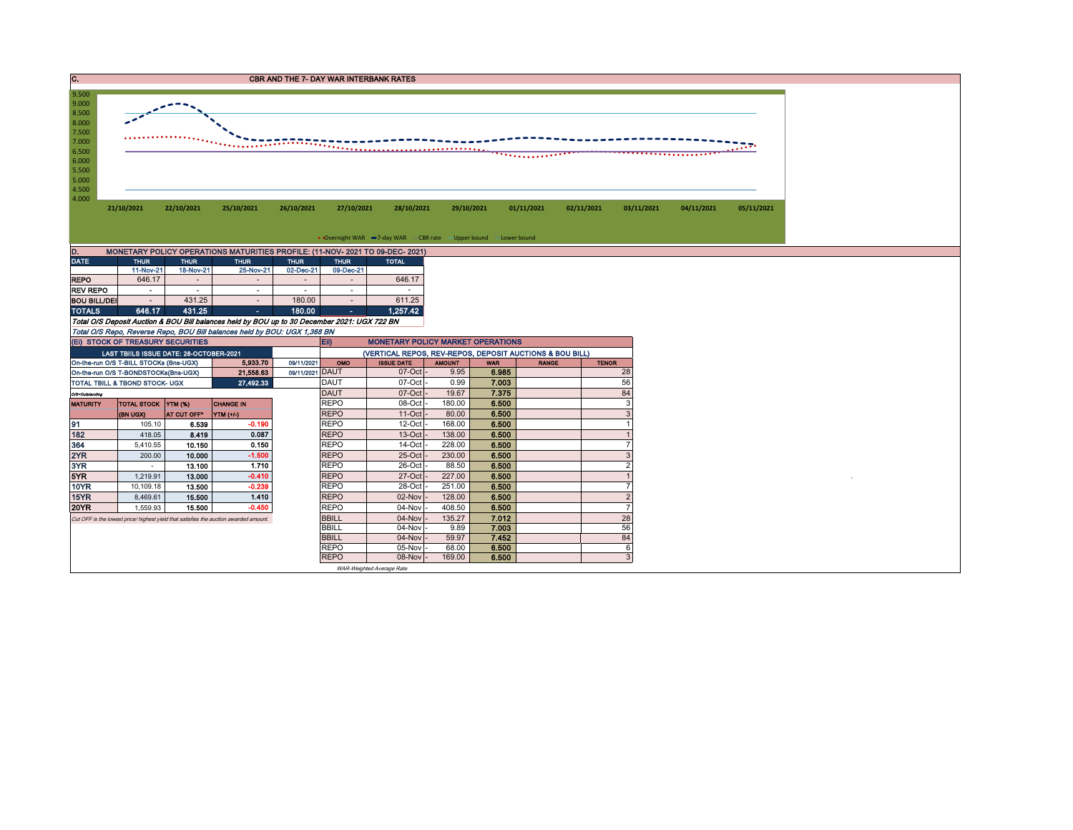| . . | <b>CBR AND THE 7- DAY WAR INTERBANK RATES</b> |  |
|-----|-----------------------------------------------|--|
|     |                                               |  |



| MONETARY POLICY OPERATIONS MATURITIES PROFILE: (11-NOV- 2021 TO 09-DEC- 2021)<br>D. |             |             |                          |             |             |              |  |  |  |  |  |  |  |
|-------------------------------------------------------------------------------------|-------------|-------------|--------------------------|-------------|-------------|--------------|--|--|--|--|--|--|--|
| <b>DATE</b>                                                                         | <b>THUR</b> | <b>THUR</b> | <b>THUR</b>              | <b>THUR</b> | <b>THUR</b> | <b>TOTAL</b> |  |  |  |  |  |  |  |
|                                                                                     | 11-Nov-21   | 18-Nov-21   | 25-Nov-21                | 02-Dec-21   | 09-Dec-21   |              |  |  |  |  |  |  |  |
| <b>REPO</b>                                                                         | 646.17      |             |                          |             |             | 646.17       |  |  |  |  |  |  |  |
| <b>REV REPO</b>                                                                     | ۰           | ۰           | ۰                        | ۰           | ۰           |              |  |  |  |  |  |  |  |
| <b>BOU BILL/DEI</b>                                                                 | ۰           | 431.25      | $\overline{\phantom{a}}$ | 180.00      |             | 611.25       |  |  |  |  |  |  |  |
| <b>TOTALS</b>                                                                       | 646.17      | 431.25      | ٠                        | 180.00      | ٠           | 1.257.42     |  |  |  |  |  |  |  |

Total O/S Deposit Auction & BOU Bill balances held by BOU up to 30 December 2021: UGX 722 BN

Total O/S Repo, Reverse Repo, BOU Bill balances held by BOU: UGX 1,368 BN

|                 | (EI) STOCK OF TREASURY SECURITIES         |             |                                                                                       |                 | $E$ ii)      | <b>MONETARY POLICY MARKET OPERATIONS</b>                 |               |            |              |              |  |  |
|-----------------|-------------------------------------------|-------------|---------------------------------------------------------------------------------------|-----------------|--------------|----------------------------------------------------------|---------------|------------|--------------|--------------|--|--|
|                 | LAST TBIILS ISSUE DATE: 28-OCTOBER-2021   |             |                                                                                       |                 |              | (VERTICAL REPOS, REV-REPOS, DEPOSIT AUCTIONS & BOU BILL) |               |            |              |              |  |  |
|                 | On-the-run O/S T-BILL STOCKs (Bns-UGX)    |             | 5,933,70                                                                              | 09/11/2021      | <b>OMO</b>   | <b>ISSUE DATE</b>                                        | <b>AMOUNT</b> | <b>WAR</b> | <b>RANGE</b> | <b>TENOR</b> |  |  |
|                 | On-the-run O/S T-BONDSTOCKs(Bns-UGX)      |             | 21,558.63                                                                             | 09/11/2021 DAUT |              | $07$ -Oct                                                | 9.95          | 6.985      |              | 28           |  |  |
|                 | <b>TOTAL TBILL &amp; TBOND STOCK- UGX</b> |             | 27,492.33                                                                             |                 | <b>DAUT</b>  | $07$ -Oct -                                              | 0.99          | 7.003      |              | 56           |  |  |
| O/S=Outstanding |                                           |             |                                                                                       |                 | <b>DAUT</b>  | $07$ -Oct                                                | 19.67         | 7.375      |              | 84           |  |  |
| <b>MATURITY</b> | TOTAL STOCK YTM (%)                       |             | <b>CHANGE IN</b>                                                                      |                 | <b>REPO</b>  | 08-Oct                                                   | 180.00        | 6.500      |              |              |  |  |
|                 | (BN UGX)                                  | AT CUT OFF* | YTM (+/-)                                                                             |                 | <b>REPO</b>  | $11$ -Oct $-$                                            | 80.00         | 6.500      |              |              |  |  |
| 91              | 105.10                                    | 6.539       | $-0.190$                                                                              |                 | <b>REPO</b>  | $12$ -Oct                                                | 168.00        | 6.500      |              |              |  |  |
| 182             | 418.05                                    | 8.419       | 0.087                                                                                 |                 | <b>REPO</b>  | 13-Oct                                                   | 138.00        | 6.500      |              |              |  |  |
| 364             | 5,410.55                                  | 10.150      | 0.150                                                                                 |                 | <b>REPO</b>  | 14-Oct                                                   | 228.00        | 6.500      |              |              |  |  |
| 2YR             | 200.00                                    | 10.000      | $-1.500$                                                                              |                 | <b>REPO</b>  | $25$ -Oct                                                | 230.00        | 6.500      |              |              |  |  |
| 3YR             |                                           | 13.100      | 1.710                                                                                 |                 | <b>REPO</b>  | $26$ -Oct                                                | 88.50         | 6.500      |              |              |  |  |
| 5YR             | 1,219.91                                  | 13.000      | $-0.410$                                                                              |                 | <b>REPO</b>  | $27 - Oct$                                               | 227.00        | 6.500      |              |              |  |  |
| 10YR            | 10,109.18                                 | 13.500      | $-0.239$                                                                              |                 | <b>REPO</b>  | 28-Oct                                                   | 251.00        | 6.500      |              |              |  |  |
| 15YR            | 8.469.61                                  | 15.500      | 1.410                                                                                 |                 | <b>REPO</b>  | 02-Nov                                                   | 128,00        | 6.500      |              |              |  |  |
| <b>20YR</b>     | 1,559.93                                  | 15.500      | $-0.450$                                                                              |                 | <b>REPO</b>  | 04-Nov                                                   | 408.50        | 6.500      |              |              |  |  |
|                 |                                           |             | Cut OFF is the lowest price/ highest yield that satisfies the auction awarded amount. |                 | <b>BBILL</b> | $04$ -Nov $-$                                            | 135.27        | 7.012      |              | 28           |  |  |
|                 |                                           |             |                                                                                       | <b>BBILL</b>    | 04-Nov -     | 9.89                                                     | 7.003         |            | 56           |              |  |  |
|                 |                                           |             |                                                                                       |                 | <b>BBILL</b> | $04-Nov$                                                 | 59.97         | 7.452      |              | 84           |  |  |
|                 |                                           |             |                                                                                       |                 | <b>REPO</b>  | $05-Nov$                                                 | 68.00         | 6.500      |              |              |  |  |
|                 |                                           |             |                                                                                       |                 | <b>REPO</b>  | 08-Nov                                                   | 169.00        | 6.500      |              |              |  |  |

WAR-Weighted Average Rate